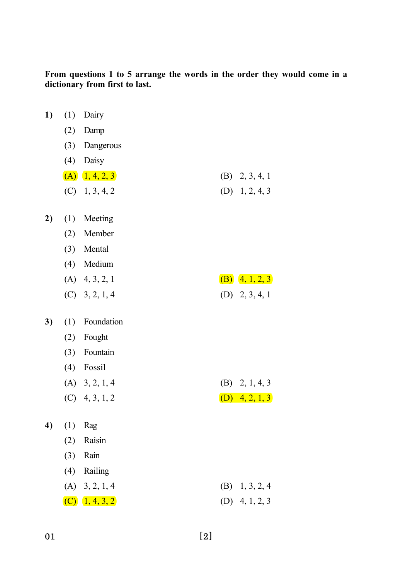From questions 1 to 5 arrange the words in the order they would come in a dictionary from first to last.

| 1) | (1) | Dairy                |                    |
|----|-----|----------------------|--------------------|
|    | (2) | Damp                 |                    |
|    | (3) | Dangerous            |                    |
|    | (4) | Daisy                |                    |
|    |     | $(A)$ $1, 4, 2, 3$   | $(B)$ 2, 3, 4, 1   |
|    |     | $(C)$ 1, 3, 4, 2     | $(D)$ 1, 2, 4, 3   |
| 2) | (1) | Meeting              |                    |
|    | (2) | Member               |                    |
|    |     | (3) Mental           |                    |
|    |     | (4) Medium           |                    |
|    |     | $(A)$ 4, 3, 2, 1     | (B) $(4, 1, 2, 3)$ |
|    |     | $(C)$ 3, 2, 1, 4     | $(D)$ 2, 3, 4, 1   |
| 3) | (1) | Foundation           |                    |
|    | (2) | Fought               |                    |
|    | (3) | Fountain             |                    |
|    |     | $(4)$ Fossil         |                    |
|    |     | $(A)$ 3, 2, 1, 4     | $(B)$ 2, 1, 4, 3   |
|    |     | $(C)$ 4, 3, 1, 2     | $(D)$ 4, 2, 1, 3   |
| 4) | (1) | Rag                  |                    |
|    | (2) | Raisin               |                    |
|    | (3) | Rain                 |                    |
|    | (4) | Railing              |                    |
|    |     | $(A)$ 3, 2, 1, 4     | (B)<br>1, 3, 2, 4  |
|    |     | $(C)$ $(1, 4, 3, 2)$ | 4, 1, 2, 3<br>(D)  |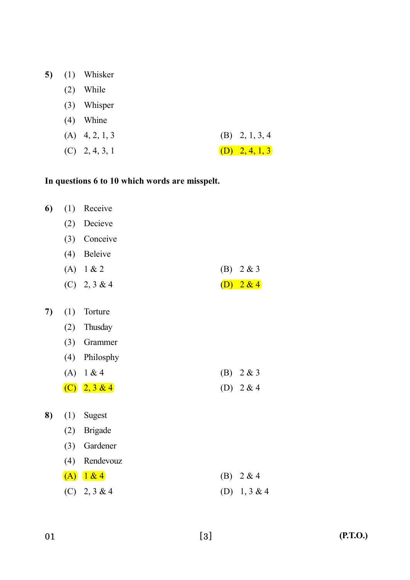| 5)<br>(1) | Whisker |
|-----------|---------|
|-----------|---------|

- (2) While
- (3) Whisper
- (4) Whine

| $(A)$ 4, 2, 1, 3 | (B) $2, 1, 3, 4$ |
|------------------|------------------|
| $(C)$ 2, 4, 3, 1 | (D) $2, 4, 1, 3$ |

# In questions 6 to 10 which words are misspelt.

| 6) | (1) | Receive           |     |          |
|----|-----|-------------------|-----|----------|
|    | (2) | Decieve           |     |          |
|    | (3) | Conceive          |     |          |
|    | (4) | Beleive           |     |          |
|    |     | (A) $1 & 2$       | (B) | 2 & 3    |
|    |     | $(C)$ 2, 3 & 4    | (D) | 2 & 4    |
|    |     |                   |     |          |
| 7) | (1) | Torture           |     |          |
|    | (2) | Thusday           |     |          |
|    | (3) | Grammer           |     |          |
|    | (4) | Philosphy         |     |          |
|    |     | (A) $1 & 4$       | (B) | 2 & 3    |
|    |     | (C) $(2, 3 \& 4)$ | (D) | 2 & 4    |
| 8) | (1) | Sugest            |     |          |
|    | (2) | <b>Brigade</b>    |     |          |
|    | (3) | Gardener          |     |          |
|    | (4) | Rendevouz         |     |          |
|    |     | (A) 1 & 4         | (B) | 2 & 4    |
|    |     | $(C)$ 2, 3 & 4    | (D) | 1, 3 & 4 |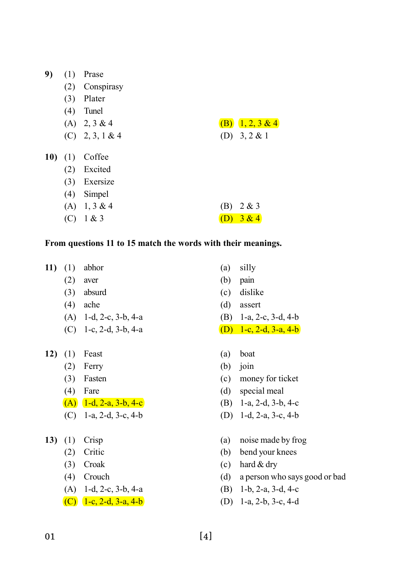| 9) | Prase |
|----|-------|
|    |       |

- (2) Conspirasy
- (3) Plater
- (4) Tunel
- 
- (C)  $2, 3, 1 \& 4$  (D)  $3, 2 \& 1$
- (A) 2, 3 & 4 (B)  $1, 2, 3$  & 4
- 10) (1) Coffee
	- (2) Excited
	- (3) Exersize
	- (4) Simpel
	- (A)  $1, 3 \& 4$  (B)  $2 \& 3$ (C)  $1 \& 3$  (D)  $3 \& 4$

#### From questions 11 to 15 match the words with their meanings.

- 11) (1) abhor (a) silly
	-
	-
	-
	- (A) 1-d, 2-c, 3-b, 4-a (B) 1-a, 2-c, 3-d, 4-b
	- (C) 1-c, 2-d, 3-b, 4-a (D) 1-c, 2-d, 3-a, 4-b
- 12) (1) Feast (a) boat
	- (2) Ferry (b) join
	-
	-
	- (A)  $1-d$ ,  $2-a$ ,  $3-b$ ,  $4-c$  (B)  $1-a$ ,  $2-d$ ,  $3-b$ ,  $4-c$
	- (C) 1-a, 2-d, 3-c, 4-b (D) 1-d, 2-a, 3-c, 4-b
- -
	-
	-
	- (A) 1-d, 2-c, 3-b, 4-a (B) 1-b, 2-a, 3-d, 4-c
	-
- 
- (2) aver (b) pain
- (3) absurd (c) dislike
- (4) ache (d) assert
	-
	-
	-
	-
- (3) Fasten (c) money for ticket
- (4) Fare (d) special meal
	-
	-
- 13) (1) Crisp (a) noise made by frog
	- (2) Critic (b) bend your knees
	- (3) Croak (c) hard & dry
	- (4) Crouch (d) a person who says good or bad
		-
	- (C)  $1-c, 2-d, 3-a, 4-b$  (D)  $1-a, 2-b, 3-c, 4-d$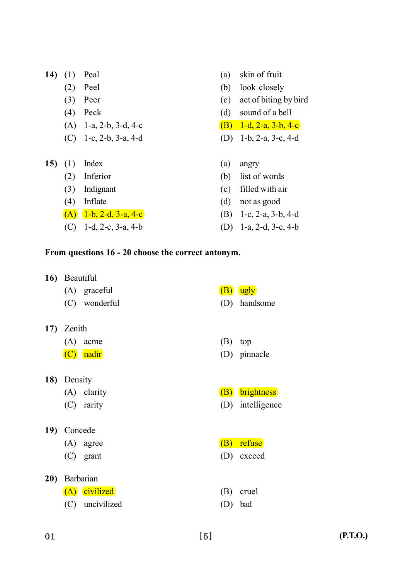- 
- 
- 
- 
- (C) 1-c, 2-b, 3-a, 4-d (D) 1-b, 2-a, 3-c, 4-d
- 15) (1) Index (a) angry
	-
	-
	-
	- (A)  $1-b$ ,  $2-d$ ,  $3-a$ ,  $4-c$  (B)  $1-c$ ,  $2-a$ ,  $3-b$ ,  $4-d$
	- (C) 1-d, 2-c, 3-a, 4-b (D) 1-a, 2-d, 3-c, 4-b
- 14) (1) Peal (a) skin of fruit
	- (2) Peel (b) look closely
	- (3) Peer (c) act of biting by bird
	- (4) Peck (d) sound of a bell
	- (A) 1-a, 2-b, 3-d, 4-c (B) 1-d, 2-a, 3-b, 4-c
		-
		-
	- (2) Inferior (b) list of words
	- (3) Indignant (c) filled with air
	- (4) Inflate (d) not as good
		-
		-

# From questions 16 - 20 choose the correct antonym.

- 16) Beautiful
	- (A) graceful  $(B)$  ugly
	- (C) wonderful (D) handsome
- 17) Zenith
	- (A) acme (B) top
	-
- 18) Density
	-
	-
- 19) Concede
	-
	-
- 20) Barbarian
	- (A) civilized (B) cruel
	- (C) uncivilized (D) bad
- 
- (C) nadir (D) pinnacle
- (A) clarity (B) brightness
- (C) rarity (D) intelligence
- $(A)$  agree  $(B)$  refuse
- (C) grant (D) exceed
	-
	-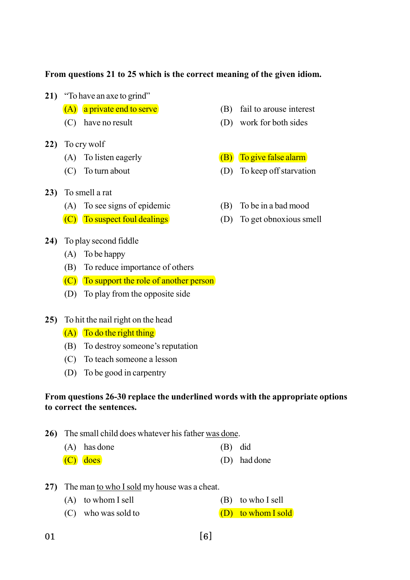### From questions 21 to 25 which is the correct meaning of the given idiom.

21) "To have an axe to grind"

- 
- 22) To cry wolf
	-
	-
- 23) To smell a rat
	- (A) To see signs of epidemic (B) To be in a bad mood
	- $(C)$  To suspect foul dealings (D) To get obnoxious smell
- 24) To play second fiddle
	- (A) To be happy
	- (B) To reduce importance of others
	- $(C)$  To support the role of another person
	- (D) To play from the opposite side
- 25) To hit the nail right on the head
	- $(A)$  To do the right thing
	- (B) To destroy someone's reputation
	- (C) To teach someone a lesson
	- (D) To be good in carpentry

## From questions 26-30 replace the underlined words with the appropriate options to correct the sentences.

- 26) The small child does whatever his father was done.
	- (A) has done (B) did
	- (C) does (D) had done
- 27) The man to who I sold my house was a cheat.
	- (A) to whom I sell (B) to who I sell
	- (C) who was sold to  $(D)$  to whom I sold
- $(A)$  a private end to serve  $(B)$  fail to arouse interest
- (C) have no result (D) work for both sides
- (A) To listen eagerly  $(B)$  To give false alarm
- (C) To turn about (D) To keep off starvation
	-
	-

 $01$  [6]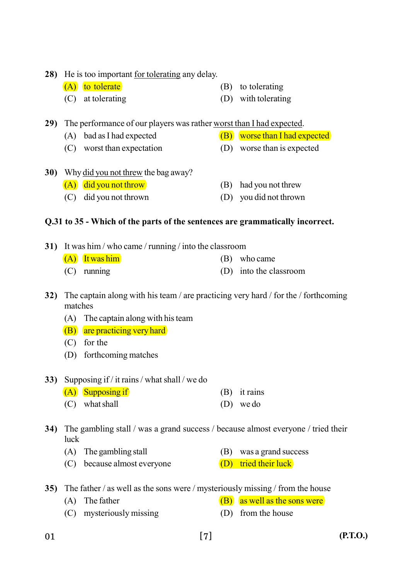28) He is too important for tolerating any delay.

- $(A)$  to tolerate (B) to tolerating
- (C) at tolerating (D) with tolerating

29) The performance of our players was rather worst than I had expected.

- (A) bad as I had expected  $(B)$  worse than I had expected
- (C) worst than expectation (D) worse than is expected
- 30) Why did you not threw the bag away?  $(A)$  did you not throw (B) had you not threw (C) did you not thrown (D) you did not thrown

# Q.31 to 35 - Which of the parts of the sentences are grammatically incorrect.

| 31) It was him / who came / running / into the classroom |                  |  |                        |  |  |
|----------------------------------------------------------|------------------|--|------------------------|--|--|
|                                                          | $(A)$ It was him |  | (B) who came           |  |  |
|                                                          | $(C)$ running    |  | (D) into the classroom |  |  |

- 32) The captain along with his team / are practicing very hard / for the / forthcoming matches
	- (A) The captain along with his team
	- (B) are practicing very hard
	- (C) for the
	- (D) forthcoming matches
- 33) Supposing if / it rains / what shall / we do
	- $(A)$  Supposing if (A) it rains
	- (C) what shall (D) we do

34) The gambling stall / was a grand success / because almost everyone / tried their luck

- (A) The gambling stall (B) was a grand success
- (C) because almost everyone (D) tried their luck
- 35) The father / as well as the sons were / mysteriously missing / from the house
	- (A) The father  $(B)$  as well as the sons were
	- (C) mysteriously missing (D) from the house
- $01$  [7]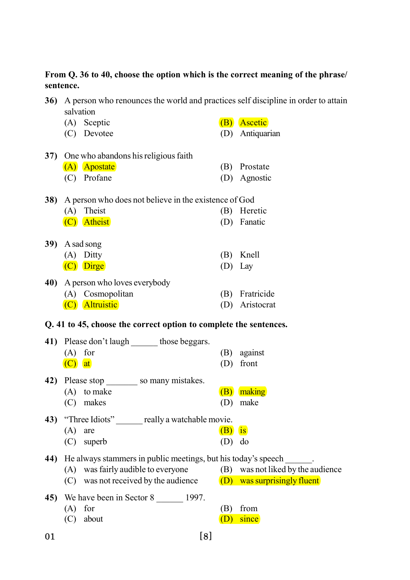From Q. 36 to 40, choose the option which is the correct meaning of the phrase/ sentence.

|     | 36) A person who renounces the world and practices self discipline in order to attain<br>salvation |          |                 |
|-----|----------------------------------------------------------------------------------------------------|----------|-----------------|
|     | (A) Sceptic                                                                                        |          | (B) Ascetic     |
|     | (C) Devotee                                                                                        |          | (D) Antiquarian |
| 37) | One who abandons his religious faith                                                               |          |                 |
|     | (A) Apostate                                                                                       |          | (B) Prostate    |
|     | (C) Profane                                                                                        |          | (D) Agnostic    |
|     | 38) A person who does not believe in the existence of God                                          |          |                 |
|     | Theist<br>(A)                                                                                      |          | (B) Heretic     |
|     | (C) Atheist                                                                                        |          | (D) Fanatic     |
|     | 39) A sad song                                                                                     |          |                 |
|     | (A) Ditty                                                                                          | (B)      | Knell           |
|     | (C) Dirge                                                                                          |          | $(D)$ Lay       |
|     |                                                                                                    |          |                 |
| 40) | A person who loves everybody                                                                       |          |                 |
|     | (A) Cosmopolitan                                                                                   |          | (B) Fratricide  |
|     | (C) Altruistic                                                                                     |          | (D) Aristocrat  |
|     | Q. 41 to 45, choose the correct option to complete the sentences.                                  |          |                 |
|     | 41) Please don't laugh those beggars.                                                              |          |                 |
|     | for<br>(A)                                                                                         |          | (B) against     |
|     | $(C)$ at                                                                                           | (D)      | front           |
| 42) | Please stop so many mistakes.                                                                      |          |                 |
|     | $(A)$ to make                                                                                      |          | (B) making      |
|     | (C) makes                                                                                          | (D)      | make            |
| 43) | "Three Idiots" ______ really a watchable movie.                                                    |          |                 |
|     | (A)<br>are                                                                                         | $(B)$ is |                 |
|     | $(C)$ superb                                                                                       | (D)      | do              |

44) He always stammers in public meetings, but his today's speech .

- (A) was fairly audible to everyone (B) was not liked by the audience
- (C) was not received by the audience  $(D)$  was surprisingly fluent
- 45) We have been in Sector 8 2001.
	- (A) for (B) from
	- $(C)$  about  $(D)$  since
- 
- $01$  [8]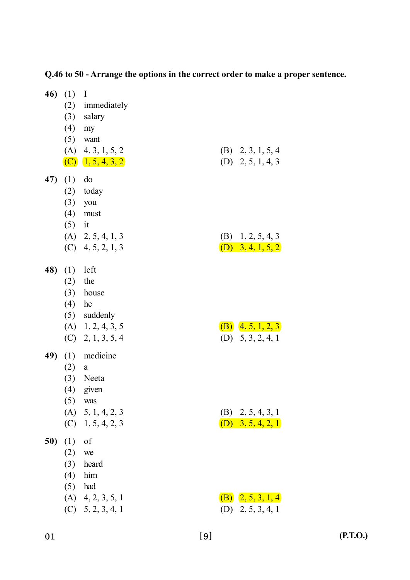| 46) | (1)<br>$(4)$ my                 | $\mathbf{I}$<br>(2) immediately<br>$(3)$ salary                                                |                                              |
|-----|---------------------------------|------------------------------------------------------------------------------------------------|----------------------------------------------|
|     |                                 | $(5)$ want<br>$(A)$ 4, 3, 1, 5, 2<br>$(C)$ $1, 5, 4, 3, 2$                                     | $(B)$ 2, 3, 1, 5, 4<br>$(D)$ 2, 5, 1, 4, 3   |
| 47) | (1)<br>$(5)$ it                 | do<br>$(2)$ today<br>$(3)$ you<br>$(4)$ must                                                   |                                              |
|     |                                 | $(A)$ 2, 5, 4, 1, 3<br>$(C)$ 4, 5, 2, 1, 3                                                     | $(B)$ 1, 2, 5, 4, 3<br>(D) $3, 4, 1, 5, 2$   |
| 48) | (1)<br>(2)<br>(4)               | left<br>the<br>$(3)$ house<br>he<br>(5) suddenly<br>$(A)$ 1, 2, 4, 3, 5<br>$(C)$ 2, 1, 3, 5, 4 | (B) $(4, 5, 1, 2, 3)$<br>$(D)$ 5, 3, 2, 4, 1 |
| 49) | (1)<br>(2)<br>(3)<br>(4)<br>(5) | medicine<br>a<br>Neeta<br>given<br>was<br>$(A)$ 5, 1, 4, 2, 3<br>$(C)$ 1, 5, 4, 2, 3           | $(B)$ 2, 5, 4, 3, 1<br>$(D)$ 3, 5, 4, 2, 1   |
| 50) | (1)<br>(2)<br>(3)<br>(4)<br>(5) | of<br>we<br>heard<br>him<br>had<br>$(A)$ 4, 2, 3, 5, 1<br>$(C)$ 5, 2, 3, 4, 1                  | (B) $(2, 5, 3, 1, 4)$<br>$(D)$ 2, 5, 3, 4, 1 |

Q.46 to 50 - Arrange the options in the correct order to make a proper sentence.

(P.T.O.)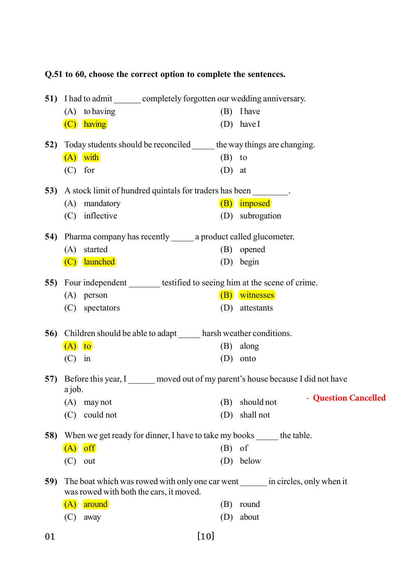|            |          | Q.51 to 60, choose the correct option to complete the sentences.                                                            |          |                                    |
|------------|----------|-----------------------------------------------------------------------------------------------------------------------------|----------|------------------------------------|
| <b>51)</b> |          | I had to admit ________ completely forgotten our wedding anniversary.                                                       |          |                                    |
|            |          | $(A)$ to having                                                                                                             | (B)      | <b>I</b> have                      |
|            |          | $(C)$ having                                                                                                                | (D)      | have I                             |
| 52)        |          | Today students should be reconciled _______ the way things are changing.                                                    |          |                                    |
|            |          | $(A)$ with                                                                                                                  | $(B)$ to |                                    |
|            | (C)      | for                                                                                                                         | (D)      | at                                 |
|            |          | 53) A stock limit of hundred quintals for traders has been ________.                                                        |          |                                    |
|            | (A)      | mandatory                                                                                                                   |          | $(B)$ imposed                      |
|            | (C)      | inflective                                                                                                                  |          | (D) subrogation                    |
| 54)        |          | Pharma company has recently _______ a product called glucometer.                                                            |          |                                    |
|            |          | (A) started                                                                                                                 |          | (B) opened                         |
|            |          | (C) launched                                                                                                                |          | (D) begin                          |
| 55)        |          | Four independent ________ testified to seeing him at the scene of crime.                                                    |          |                                    |
|            |          | $(A)$ person                                                                                                                |          | (B) witnesses                      |
|            | (C)      | spectators                                                                                                                  | (D)      | attestants                         |
| 56)        |          | Children should be able to adapt ______ harsh weather conditions.                                                           |          |                                    |
|            | $(A)$ to |                                                                                                                             |          | (B) along                          |
|            | (C)      | in                                                                                                                          | (D)      | onto                               |
| 57)        | a job.   | Before this year, I moved out of my parent's house because I did not have                                                   |          |                                    |
|            | (A)      | may not                                                                                                                     | (B)      | - Question Cancelled<br>should not |
|            | (C)      | could not                                                                                                                   | (D)      | shall not                          |
| 58)        |          | When we get ready for dinner, I have to take my books ______ the table.                                                     |          |                                    |
|            |          | $(A)$ off                                                                                                                   | (B)      | of                                 |
|            | (C)      | out                                                                                                                         | (D)      | below                              |
| 59)        |          | The boat which was rowed with only one car went _______ in circles, only when it<br>was rowed with both the cars, it moved. |          |                                    |
|            | (A)      | around                                                                                                                      | (B)      | round                              |
|            | (C)      | away                                                                                                                        | (D)      | about                              |
| 01         |          | [10]                                                                                                                        |          |                                    |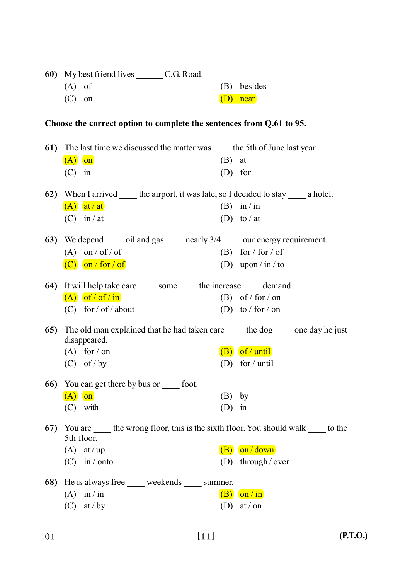|     | $(A)$ of                                                                                                   |          | (B) besides        |
|-----|------------------------------------------------------------------------------------------------------------|----------|--------------------|
|     | $(C)$ on                                                                                                   |          | $(D)$ near         |
|     |                                                                                                            |          |                    |
|     | Choose the correct option to complete the sentences from Q.61 to 95.                                       |          |                    |
|     |                                                                                                            |          |                    |
|     | 61) The last time we discussed the matter was _____ the 5th of June last year.                             |          |                    |
|     | $(A)$ on                                                                                                   | (B)      | at                 |
|     | $(C)$ in                                                                                                   |          | $(D)$ for          |
|     | <b>62)</b> When I arrived <u>finite</u> the airport, it was late, so I decided to stay <u>see</u> a hotel. |          |                    |
|     | $(A)$ at / at                                                                                              |          | (B) in/in          |
|     | $(C)$ in / at                                                                                              |          | (D) to / at        |
|     |                                                                                                            |          |                    |
|     | 63) We depend _____ oil and gas _____ nearly 3/4 _____ our energy requirement.                             |          |                    |
|     | $(A)$ on / of / of                                                                                         |          | (B) for / for / of |
|     | $(C)$ on / for / of                                                                                        |          | (D) upon / in / to |
|     | 64) It will help take care ______ some ______ the increase ______ demand.                                  |          |                    |
|     | $(A)$ of / of / in                                                                                         |          | (B) of / for / on  |
|     | $(C)$ for / of / about                                                                                     |          | (D) to / for / on  |
| 65) | The old man explained that he had taken care ______ the dog _____ one day he just                          |          |                    |
|     | disappeared.                                                                                               |          |                    |
|     | $(A)$ for / on                                                                                             |          | $(B)$ of / until   |
|     | $(C)$ of / by                                                                                              |          | (D) for / until    |
|     | <b>66</b> ) You can get there by bus or <u>sect</u> foot.                                                  |          |                    |
|     | $(A)$ on                                                                                                   | $(B)$ by |                    |
|     | $(C)$ with                                                                                                 | $(D)$ in |                    |
| 67) | You are _____ the wrong floor, this is the sixth floor. You should walk _____ to the                       |          |                    |
|     | 5th floor.                                                                                                 |          |                    |
|     | $(A)$ at/up                                                                                                | (B)      | on/down            |
|     | $(C)$ in / onto                                                                                            | (D)      | through / over     |
|     | <b>68</b> ) He is always free _____ weekends _____ summer.                                                 |          |                    |
|     | (A) in / in                                                                                                |          | $(B)$ on $\sin$    |
|     | (C) at / by                                                                                                | (D)      | $at/$ on           |
|     |                                                                                                            |          |                    |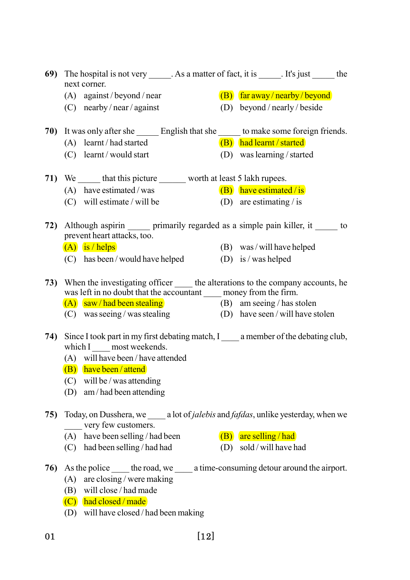|     | 69) The hospital is not very ______. As a matter of fact, it is ______. It's just _______ the<br>next corner.      |  |                     |                                  |  |
|-----|--------------------------------------------------------------------------------------------------------------------|--|---------------------|----------------------------------|--|
|     | $(A)$ against/beyond/near                                                                                          |  |                     | $(B)$ far away / nearby / beyond |  |
|     | $(C)$ nearby/near/against                                                                                          |  |                     | (D) beyond / nearly / beside     |  |
|     |                                                                                                                    |  |                     |                                  |  |
|     | 70) It was only after she ________ English that she _______ to make some foreign friends.                          |  |                     |                                  |  |
|     | (A) learnt / had started                                                                                           |  |                     | (B) had learnt / started         |  |
|     | $(C)$ learnt/would start                                                                                           |  |                     | (D) was learning / started       |  |
|     | 71) We _______ that this picture _________ worth at least 5 lakh rupees.                                           |  |                     |                                  |  |
|     | $(A)$ have estimated / was                                                                                         |  |                     | $(B)$ have estimated / is        |  |
|     | $(C)$ will estimate / will be                                                                                      |  |                     | (D) are estimating / is          |  |
|     |                                                                                                                    |  |                     |                                  |  |
|     | 72) Although aspirin primarily regarded as a simple pain killer, it to<br>prevent heart attacks, too.              |  |                     |                                  |  |
|     | $(A)$ is / helps                                                                                                   |  |                     | $(B)$ was/will have helped       |  |
|     | (C) has been / would have helped                                                                                   |  | (D) is / was helped |                                  |  |
|     |                                                                                                                    |  |                     |                                  |  |
|     | 73) When the investigating officer ______ the alterations to the company accounts, he                              |  |                     |                                  |  |
|     | was left in no doubt that the accountant ______ money from the firm.                                               |  |                     |                                  |  |
|     | $(A)$ saw/had been stealing (B) am seeing/has stolen<br>(C) was seeing/was stealing (D) have seen/will have stolen |  |                     |                                  |  |
|     |                                                                                                                    |  |                     |                                  |  |
|     | 74) Since I took part in my first debating match, I _____ a member of the debating club,                           |  |                     |                                  |  |
|     | which I most weekends.                                                                                             |  |                     |                                  |  |
|     | (A) will have been / have attended                                                                                 |  |                     |                                  |  |
|     | $(B)$ have been / attend                                                                                           |  |                     |                                  |  |
|     | $(C)$ will be / was attending                                                                                      |  |                     |                                  |  |
|     | (D) $am/had$ been attending                                                                                        |  |                     |                                  |  |
| 75) | Today, on Dusshera, we a lot of <i>jalebis</i> and <i>fafdas</i> , unlike yesterday, when we                       |  |                     |                                  |  |
|     | very few customers.                                                                                                |  |                     |                                  |  |
|     | (A) have been selling / had been                                                                                   |  |                     | $(B)$ are selling / had          |  |
|     | (C) had been selling / had had                                                                                     |  |                     | (D) sold/will have had           |  |
| 76) | As the police ______ the road, we ______ a time-consuming detour around the airport.                               |  |                     |                                  |  |
|     | (A) are closing / were making                                                                                      |  |                     |                                  |  |
|     | (B) will close / had made                                                                                          |  |                     |                                  |  |
|     | $(C)$ had closed / made                                                                                            |  |                     |                                  |  |
|     | (D) will have closed / had been making                                                                             |  |                     |                                  |  |
|     |                                                                                                                    |  |                     |                                  |  |

01 [12]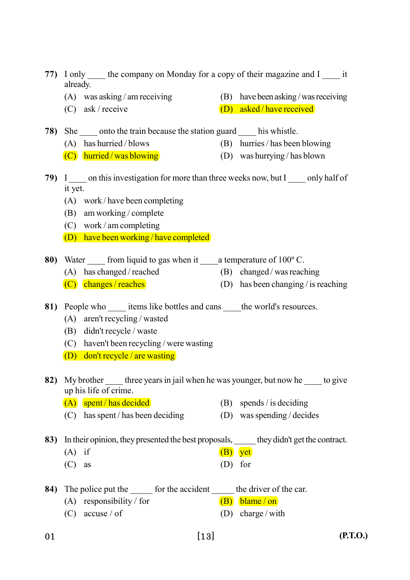|     | 77) I only the company on Monday for a copy of their magazine and I it<br>already.            |                                     |  |
|-----|-----------------------------------------------------------------------------------------------|-------------------------------------|--|
|     | (A) was asking / am receiving                                                                 | (B) have been asking/was receiving  |  |
|     | (C) ask / receive                                                                             | $(D)$ asked/have received           |  |
|     |                                                                                               |                                     |  |
|     | 78) She onto the train because the station guard his whistle.                                 |                                     |  |
|     | (A) has hurried / blows                                                                       | (B) hurries / has been blowing      |  |
|     | $(C)$ hurried / was blowing                                                                   | (D) was hurrying / has blown        |  |
|     | 79) I _____ on this investigation for more than three weeks now, but I _____ only half of     |                                     |  |
|     | it yet.                                                                                       |                                     |  |
|     | $(A)$ work/have been completing                                                               |                                     |  |
|     | (B) am working / complete                                                                     |                                     |  |
|     | $(C)$ work / am completing                                                                    |                                     |  |
|     | $(D)$ have been working / have completed                                                      |                                     |  |
|     |                                                                                               |                                     |  |
|     | 80) Water _____ from liquid to gas when it ______ a temperature of 100°C.                     |                                     |  |
|     | (A) has changed / reached                                                                     | (B) changed/was reaching            |  |
|     | (C) changes / reaches                                                                         | (D) has been changing / is reaching |  |
|     | 81) People who ______ items like bottles and cans ______ the world's resources.               |                                     |  |
|     | $(A)$ aren't recycling / wasted                                                               |                                     |  |
|     | (B) didn't recycle / waste                                                                    |                                     |  |
|     | (C) haven't been recycling / were wasting                                                     |                                     |  |
|     | $(D)$ don't recycle / are wasting                                                             |                                     |  |
|     |                                                                                               |                                     |  |
| 82) | My brother <u>three</u> years in jail when he was younger, but now he <u>the</u> to give      |                                     |  |
|     | up his life of crime.                                                                         |                                     |  |
|     | (A) spent/has decided                                                                         | (B) spends / is deciding            |  |
|     | (C) has spent/has been deciding                                                               | $(D)$ was spending / decides        |  |
|     |                                                                                               |                                     |  |
|     | 83) In their opinion, they presented the best proposals, ______ they didn't get the contract. |                                     |  |
|     | $(A)$ if                                                                                      | $(B)$ yet                           |  |
|     | (C)<br>as                                                                                     | $(D)$ for                           |  |
|     |                                                                                               |                                     |  |
|     | 84) The police put the _______ for the accident _______ the driver of the car.                |                                     |  |
|     | (A) responsibility / for                                                                      | $(B)$ blame / on                    |  |
|     | $(C)$ accuse / of                                                                             | (D) charge / with                   |  |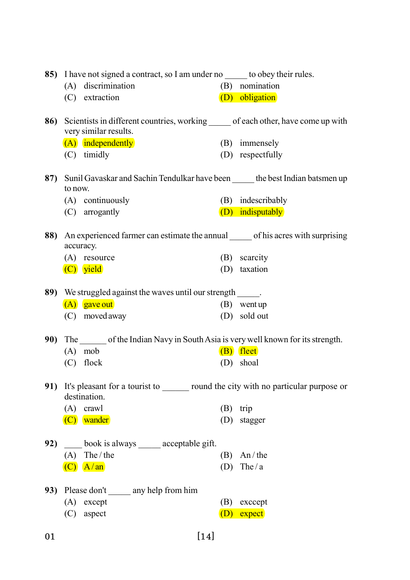|     |                                                                                                             | 85) I have not signed a contract, so I am under no _____ to obey their rules.                      |     |                   |  |  |
|-----|-------------------------------------------------------------------------------------------------------------|----------------------------------------------------------------------------------------------------|-----|-------------------|--|--|
|     |                                                                                                             | (A) discrimination                                                                                 |     | (B) nomination    |  |  |
|     |                                                                                                             | (C) extraction                                                                                     |     | (D) obligation    |  |  |
| 86) | Scientists in different countries, working ______ of each other, have come up with<br>very similar results. |                                                                                                    |     |                   |  |  |
|     |                                                                                                             | (A) independently                                                                                  |     | (B) immensely     |  |  |
|     |                                                                                                             | (C) timidly                                                                                        |     | (D) respectfully  |  |  |
|     |                                                                                                             | 87) Sunil Gavaskar and Sachin Tendulkar have been ______ the best Indian batsmen up<br>to now.     |     |                   |  |  |
|     |                                                                                                             | (A) continuously                                                                                   |     | (B) indescribably |  |  |
|     |                                                                                                             | (C) arrogantly                                                                                     |     | (D) indisputably  |  |  |
|     |                                                                                                             | 88) An experienced farmer can estimate the annual ______ of his acres with surprising<br>accuracy. |     |                   |  |  |
|     |                                                                                                             | (A) resource                                                                                       |     | (B) scarcity      |  |  |
|     |                                                                                                             | (C) yield                                                                                          |     | (D) taxation      |  |  |
|     |                                                                                                             |                                                                                                    |     |                   |  |  |
|     |                                                                                                             | 89) We struggled against the waves until our strength _____.                                       |     |                   |  |  |
|     |                                                                                                             | (A) gave out                                                                                       |     | $(B)$ went up     |  |  |
|     |                                                                                                             | (C) moved away                                                                                     |     | (D) sold out      |  |  |
| 90) |                                                                                                             | The of the Indian Navy in South Asia is very well known for its strength.                          |     |                   |  |  |
|     |                                                                                                             | $(A)$ mob                                                                                          |     | $(B)$ fleet       |  |  |
|     |                                                                                                             | $(C)$ flock                                                                                        |     | (D) shoal         |  |  |
|     | 91) It's pleasant for a tourist to _______ round the city with no particular purpose or<br>destination.     |                                                                                                    |     |                   |  |  |
|     |                                                                                                             | $(A)$ crawl                                                                                        |     | $(B)$ trip        |  |  |
|     |                                                                                                             | (C) wander                                                                                         |     | (D) stagger       |  |  |
| 92) |                                                                                                             | book is always _____ acceptable gift.                                                              |     |                   |  |  |
|     |                                                                                                             | $(A)$ The / the                                                                                    | (B) | An/the            |  |  |
|     |                                                                                                             | $(C)$ $A/m$                                                                                        |     | (D) The $/a$      |  |  |
|     |                                                                                                             | 93) Please don't ______ any help from him                                                          |     |                   |  |  |
|     |                                                                                                             | $(A)$ except                                                                                       | (B) | exccept           |  |  |
|     | (C)                                                                                                         | aspect                                                                                             | (D) | expect            |  |  |
| 01  |                                                                                                             | $[14]$                                                                                             |     |                   |  |  |